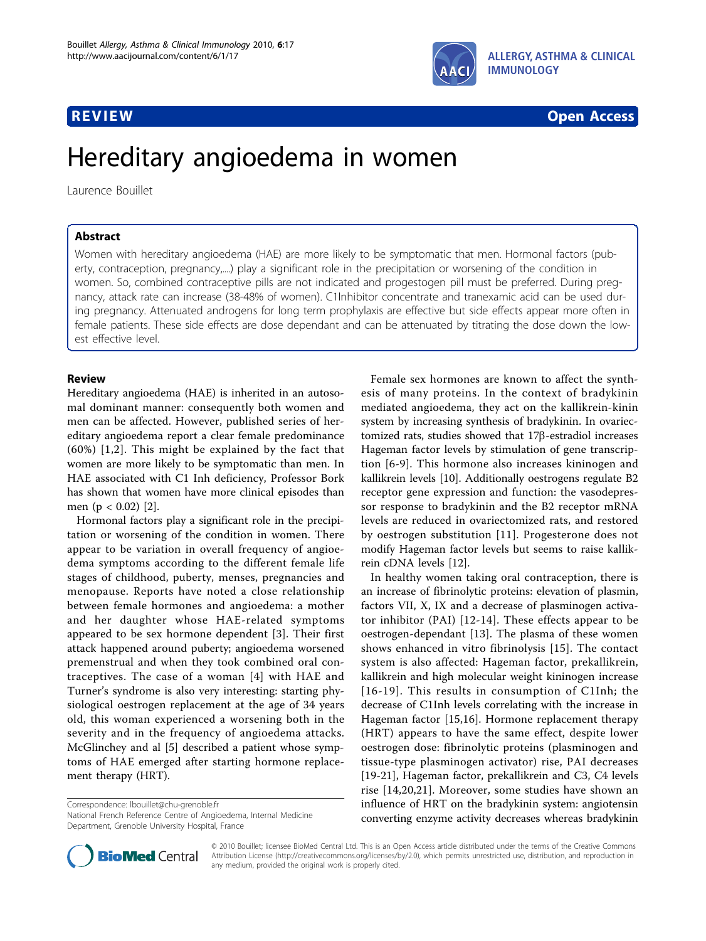

# **REVIEW CONSTRUCTION CONSTRUCTION CONSTRUCTS**

# Hereditary angioedema in women

Laurence Bouillet

# Abstract

Women with hereditary angioedema (HAE) are more likely to be symptomatic that men. Hormonal factors (puberty, contraception, pregnancy,....) play a significant role in the precipitation or worsening of the condition in women. So, combined contraceptive pills are not indicated and progestogen pill must be preferred. During pregnancy, attack rate can increase (38-48% of women). C1Inhibitor concentrate and tranexamic acid can be used during pregnancy. Attenuated androgens for long term prophylaxis are effective but side effects appear more often in female patients. These side effects are dose dependant and can be attenuated by titrating the dose down the lowest effective level.

## Review

Hereditary angioedema (HAE) is inherited in an autosomal dominant manner: consequently both women and men can be affected. However, published series of hereditary angioedema report a clear female predominance (60%) [\[1,2](#page-2-0)]. This might be explained by the fact that women are more likely to be symptomatic than men. In HAE associated with C1 Inh deficiency, Professor Bork has shown that women have more clinical episodes than men (p < 0.02) [\[2](#page-2-0)].

Hormonal factors play a significant role in the precipitation or worsening of the condition in women. There appear to be variation in overall frequency of angioedema symptoms according to the different female life stages of childhood, puberty, menses, pregnancies and menopause. Reports have noted a close relationship between female hormones and angioedema: a mother and her daughter whose HAE-related symptoms appeared to be sex hormone dependent [[3](#page-2-0)]. Their first attack happened around puberty; angioedema worsened premenstrual and when they took combined oral contraceptives. The case of a woman [[4](#page-2-0)] with HAE and Turner's syndrome is also very interesting: starting physiological oestrogen replacement at the age of 34 years old, this woman experienced a worsening both in the severity and in the frequency of angioedema attacks. McGlinchey and al [\[5](#page-2-0)] described a patient whose symptoms of HAE emerged after starting hormone replacement therapy (HRT).

Correspondence: [lbouillet@chu-grenoble.fr](mailto:lbouillet@chu-grenoble.fr)

National French Reference Centre of Angioedema, Internal Medicine Department, Grenoble University Hospital, France



In healthy women taking oral contraception, there is an increase of fibrinolytic proteins: elevation of plasmin, factors VII, X, IX and a decrease of plasminogen activator inhibitor (PAI) [[12-14\]](#page-2-0). These effects appear to be oestrogen-dependant [[13\]](#page-2-0). The plasma of these women shows enhanced in vitro fibrinolysis [\[15\]](#page-2-0). The contact system is also affected: Hageman factor, prekallikrein, kallikrein and high molecular weight kininogen increase [[16](#page-2-0)-[19\]](#page-2-0). This results in consumption of C1Inh; the decrease of C1Inh levels correlating with the increase in Hageman factor [\[15](#page-2-0),[16\]](#page-2-0). Hormone replacement therapy (HRT) appears to have the same effect, despite lower oestrogen dose: fibrinolytic proteins (plasminogen and tissue-type plasminogen activator) rise, PAI decreases [[19-21](#page-2-0)], Hageman factor, prekallikrein and C3, C4 levels rise [\[14,20,21](#page-2-0)]. Moreover, some studies have shown an influence of HRT on the bradykinin system: angiotensin converting enzyme activity decreases whereas bradykinin



© 2010 Bouillet; licensee BioMed Central Ltd. This is an Open Access article distributed under the terms of the Creative Commons Attribution License [\(http://creativecommons.org/licenses/by/2.0](http://creativecommons.org/licenses/by/2.0)), which permits unrestricted use, distribution, and reproduction in any medium, provided the original work is properly cited.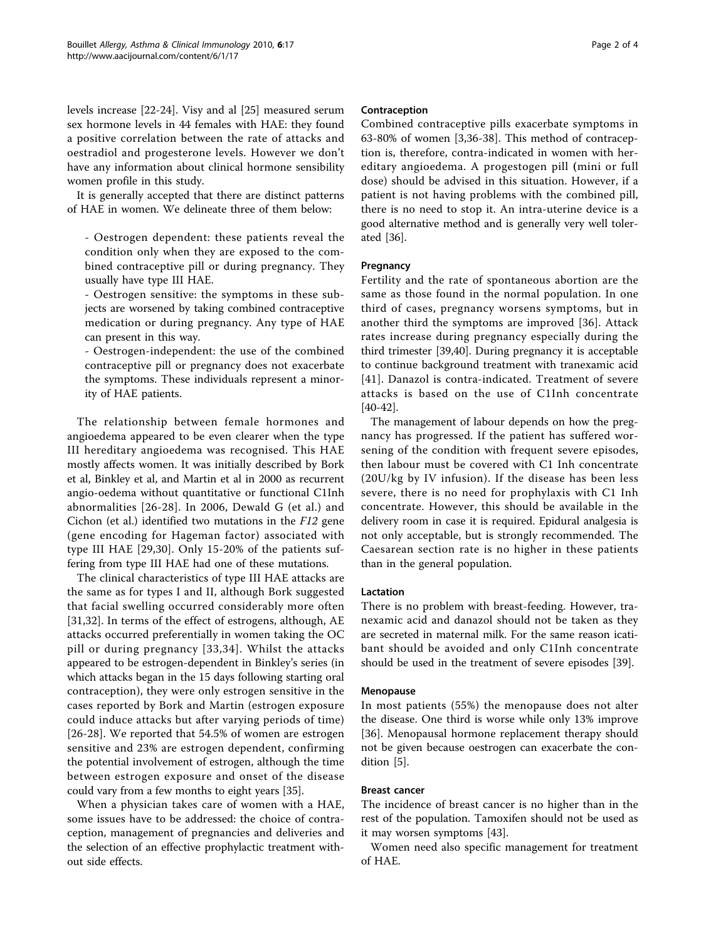levels increase [[22-24\]](#page-2-0). Visy and al [\[25](#page-2-0)] measured serum sex hormone levels in 44 females with HAE: they found a positive correlation between the rate of attacks and oestradiol and progesterone levels. However we don't have any information about clinical hormone sensibility women profile in this study.

It is generally accepted that there are distinct patterns of HAE in women. We delineate three of them below:

- Oestrogen dependent: these patients reveal the condition only when they are exposed to the combined contraceptive pill or during pregnancy. They usually have type III HAE.

- Oestrogen sensitive: the symptoms in these subjects are worsened by taking combined contraceptive medication or during pregnancy. Any type of HAE can present in this way.

- Oestrogen-independent: the use of the combined contraceptive pill or pregnancy does not exacerbate the symptoms. These individuals represent a minority of HAE patients.

The relationship between female hormones and angioedema appeared to be even clearer when the type III hereditary angioedema was recognised. This HAE mostly affects women. It was initially described by Bork et al, Binkley et al, and Martin et al in 2000 as recurrent angio-oedema without quantitative or functional C1Inh abnormalities [[26-](#page-2-0)[28](#page-3-0)]. In 2006, Dewald G (et al.) and Cichon (et al.) identified two mutations in the F12 gene (gene encoding for Hageman factor) associated with type III HAE [[29,30\]](#page-3-0). Only 15-20% of the patients suffering from type III HAE had one of these mutations.

The clinical characteristics of type III HAE attacks are the same as for types I and II, although Bork suggested that facial swelling occurred considerably more often [[31,32](#page-3-0)]. In terms of the effect of estrogens, although, AE attacks occurred preferentially in women taking the OC pill or during pregnancy [[33](#page-3-0),[34\]](#page-3-0). Whilst the attacks appeared to be estrogen-dependent in Binkley's series (in which attacks began in the 15 days following starting oral contraception), they were only estrogen sensitive in the cases reported by Bork and Martin (estrogen exposure could induce attacks but after varying periods of time) [[26](#page-2-0)-[28\]](#page-3-0). We reported that 54.5% of women are estrogen sensitive and 23% are estrogen dependent, confirming the potential involvement of estrogen, although the time between estrogen exposure and onset of the disease could vary from a few months to eight years [[35](#page-3-0)].

When a physician takes care of women with a HAE, some issues have to be addressed: the choice of contraception, management of pregnancies and deliveries and the selection of an effective prophylactic treatment without side effects.

Combined contraceptive pills exacerbate symptoms in 63-80% of women [[3,](#page-2-0)[36-38](#page-3-0)]. This method of contraception is, therefore, contra-indicated in women with hereditary angioedema. A progestogen pill (mini or full dose) should be advised in this situation. However, if a patient is not having problems with the combined pill, there is no need to stop it. An intra-uterine device is a good alternative method and is generally very well tolerated [\[36\]](#page-3-0).

Fertility and the rate of spontaneous abortion are the same as those found in the normal population. In one third of cases, pregnancy worsens symptoms, but in another third the symptoms are improved [[36\]](#page-3-0). Attack rates increase during pregnancy especially during the third trimester [[39,40\]](#page-3-0). During pregnancy it is acceptable to continue background treatment with tranexamic acid [[41](#page-3-0)]. Danazol is contra-indicated. Treatment of severe attacks is based on the use of C1Inh concentrate [[40-42\]](#page-3-0).

The management of labour depends on how the pregnancy has progressed. If the patient has suffered worsening of the condition with frequent severe episodes, then labour must be covered with C1 Inh concentrate (20U/kg by IV infusion). If the disease has been less severe, there is no need for prophylaxis with C1 Inh concentrate. However, this should be available in the delivery room in case it is required. Epidural analgesia is not only acceptable, but is strongly recommended. The Caesarean section rate is no higher in these patients than in the general population.

There is no problem with breast-feeding. However, tranexamic acid and danazol should not be taken as they are secreted in maternal milk. For the same reason icatibant should be avoided and only C1Inh concentrate should be used in the treatment of severe episodes [\[39\]](#page-3-0).

In most patients (55%) the menopause does not alter the disease. One third is worse while only 13% improve [[36\]](#page-3-0). Menopausal hormone replacement therapy should not be given because oestrogen can exacerbate the condition [\[5](#page-2-0)].

The incidence of breast cancer is no higher than in the rest of the population. Tamoxifen should not be used as it may worsen symptoms [\[43\]](#page-3-0).

Women need also specific management for treatment of HAE.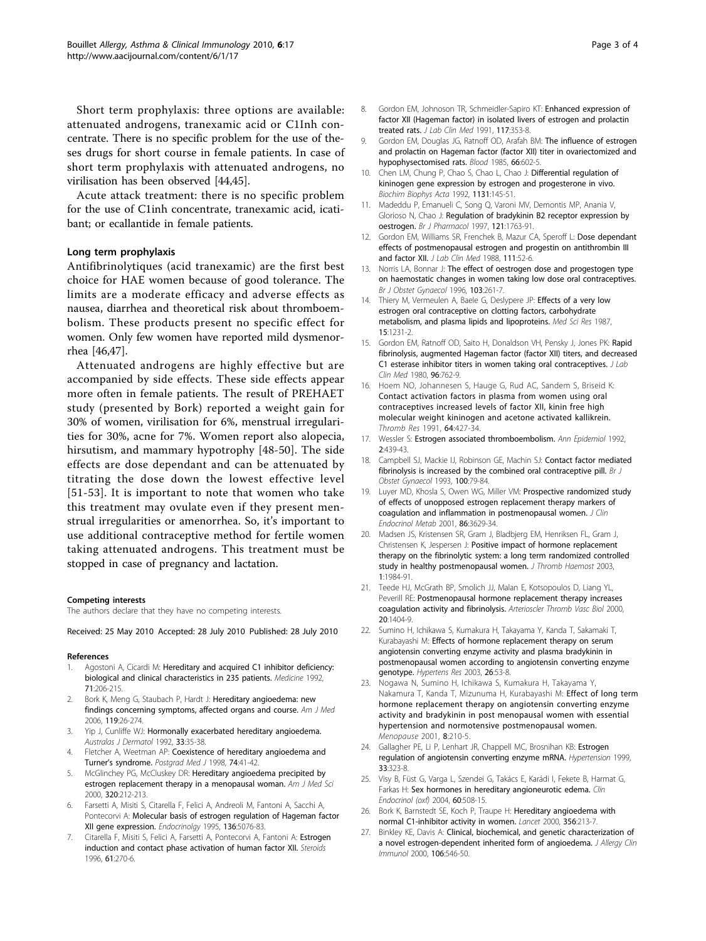<span id="page-2-0"></span>Short term prophylaxis: three options are available: attenuated androgens, tranexamic acid or C1Inh concentrate. There is no specific problem for the use of theses drugs for short course in female patients. In case of short term prophylaxis with attenuated androgens, no virilisation has been observed [\[44,45\]](#page-3-0).

Acute attack treatment: there is no specific problem for the use of C1inh concentrate, tranexamic acid, icatibant; or ecallantide in female patients.

Antifibrinolytiques (acid tranexamic) are the first best choice for HAE women because of good tolerance. The limits are a moderate efficacy and adverse effects as nausea, diarrhea and theoretical risk about thromboembolism. These products present no specific effect for women. Only few women have reported mild dysmenorrhea [[46,47](#page-3-0)].

Attenuated androgens are highly effective but are accompanied by side effects. These side effects appear more often in female patients. The result of PREHAET study (presented by Bork) reported a weight gain for 30% of women, virilisation for 6%, menstrual irregularities for 30%, acne for 7%. Women report also alopecia, hirsutism, and mammary hypotrophy [\[48-50](#page-3-0)]. The side effects are dose dependant and can be attenuated by titrating the dose down the lowest effective level [[51](#page-3-0)-[53\]](#page-3-0). It is important to note that women who take this treatment may ovulate even if they present menstrual irregularities or amenorrhea. So, it's important to use additional contraceptive method for fertile women taking attenuated androgens. This treatment must be stopped in case of pregnancy and lactation.

The authors declare that they have no competing interests.

Received: 25 May 2010 Accepted: 28 July 2010 Published: 28 July 2010

### References

- 1. Agostoni A, Cicardi M: [Hereditary and acquired C1 inhibitor deficiency:](http://www.ncbi.nlm.nih.gov/pubmed/1518394?dopt=Abstract) [biological and clinical characteristics in 235 patients.](http://www.ncbi.nlm.nih.gov/pubmed/1518394?dopt=Abstract) Medicine 1992, 71:206-215.
- Bork K, Meng G, Staubach P, Hardt J: Hereditary angioedema: new findings concerning symptoms, affected organs and course. Am J Med 2006, 119:26-274.
- 3. Yip J, Cunliffe WJ: [Hormonally exacerbated hereditary angioedema.](http://www.ncbi.nlm.nih.gov/pubmed/1445091?dopt=Abstract) Australas J Dermatol 1992, 33:35-38.
- 4. Fletcher A, Weetman AP: [Coexistence of hereditary angioedema and](http://www.ncbi.nlm.nih.gov/pubmed/9538488?dopt=Abstract) Turner'[s syndrome.](http://www.ncbi.nlm.nih.gov/pubmed/9538488?dopt=Abstract) Postgrad Med J 1998, 74:41-42.
- 5. McGlinchey PG, McCluskey DR: [Hereditary angioedema precipited by](http://www.ncbi.nlm.nih.gov/pubmed/11014377?dopt=Abstract) [estrogen replacement therapy in a menopausal woman.](http://www.ncbi.nlm.nih.gov/pubmed/11014377?dopt=Abstract) Am J Med Sci 2000, 320:212-213.
- 6. Farsetti A, Misiti S, Citarella F, Felici A, Andreoli M, Fantoni A, Sacchi A, Pontecorvi A: Molecular basis of estrogen regulation of Hageman factor XII gene expression. Endocrinolgy 1995, 136:5076-83.
- Citarella F, Misiti S, Felici A, Farsetti A, Pontecorvi A, Fantoni A: [Estrogen](http://www.ncbi.nlm.nih.gov/pubmed/8733013?dopt=Abstract) [induction and contact phase activation of human factor XII.](http://www.ncbi.nlm.nih.gov/pubmed/8733013?dopt=Abstract) Steroids 1996, 61:270-6.
- 8. Gordon EM, Johnoson TR, Schmeidler-Sapiro KT: [Enhanced expression of](http://www.ncbi.nlm.nih.gov/pubmed/2019789?dopt=Abstract) [factor XII \(Hageman factor\) in isolated livers of estrogen and prolactin](http://www.ncbi.nlm.nih.gov/pubmed/2019789?dopt=Abstract) [treated rats.](http://www.ncbi.nlm.nih.gov/pubmed/2019789?dopt=Abstract) *J Lab Clin Med* 1991, 117:353-8.
- 9. Gordon EM, Douglas JG, Ratnoff OD, Arafah BM: [The influence of estrogen](http://www.ncbi.nlm.nih.gov/pubmed/4027381?dopt=Abstract) [and prolactin on Hageman factor \(factor XII\) titer in ovariectomized and](http://www.ncbi.nlm.nih.gov/pubmed/4027381?dopt=Abstract) [hypophysectomised rats.](http://www.ncbi.nlm.nih.gov/pubmed/4027381?dopt=Abstract) Blood 1985, 66:602-5.
- 10. Chen LM, Chung P, Chao S, Chao L, Chao J: [Differential regulation of](http://www.ncbi.nlm.nih.gov/pubmed/1610894?dopt=Abstract) [kininogen gene expression by estrogen and progesterone in vivo.](http://www.ncbi.nlm.nih.gov/pubmed/1610894?dopt=Abstract) Biochim Biophys Acta 1992, 1131:145-51.
- 11. Madeddu P, Emanueli C, Song Q, Varoni MV, Demontis MP, Anania V, Glorioso N, Chao J: [Regulation of bradykinin B2 receptor expression by](http://www.ncbi.nlm.nih.gov/pubmed/9283715?dopt=Abstract) [oestrogen.](http://www.ncbi.nlm.nih.gov/pubmed/9283715?dopt=Abstract) Br J Pharmacol 1997, 121:1763-91.
- 12. Gordon EM, Williams SR, Frenchek B, Mazur CA, Speroff L: [Dose dependant](http://www.ncbi.nlm.nih.gov/pubmed/3335825?dopt=Abstract) [effects of postmenopausal estrogen and progestin on antithrombin III](http://www.ncbi.nlm.nih.gov/pubmed/3335825?dopt=Abstract) [and factor XII.](http://www.ncbi.nlm.nih.gov/pubmed/3335825?dopt=Abstract) J Lab Clin Med 1988, 111:52-6.
- 13. Norris LA, Bonnar J: [The effect of oestrogen dose and progestogen type](http://www.ncbi.nlm.nih.gov/pubmed/8630312?dopt=Abstract) [on haemostatic changes in women taking low dose oral contraceptives.](http://www.ncbi.nlm.nih.gov/pubmed/8630312?dopt=Abstract) Br J Obstet Gynaecol 1996, 103:261-7.
- 14. Thiery M, Vermeulen A, Baele G, Deslypere JP: [Effects of a very low](http://www.ncbi.nlm.nih.gov/pubmed/12282907?dopt=Abstract) [estrogen oral contraceptive on clotting factors, carbohydrate](http://www.ncbi.nlm.nih.gov/pubmed/12282907?dopt=Abstract) [metabolism, and plasma lipids and lipoproteins.](http://www.ncbi.nlm.nih.gov/pubmed/12282907?dopt=Abstract) Med Sci Res 1987, 15:1231-2.
- 15. Gordon EM, Ratnoff OD, Saito H, Donaldson VH, Pensky J, Jones PK: [Rapid](http://www.ncbi.nlm.nih.gov/pubmed/7419960?dopt=Abstract) [fibrinolysis, augmented Hageman factor \(factor XII\) titers, and decreased](http://www.ncbi.nlm.nih.gov/pubmed/7419960?dopt=Abstract) [C1 esterase inhibitor titers in women taking oral contraceptives.](http://www.ncbi.nlm.nih.gov/pubmed/7419960?dopt=Abstract) *J Lab* Clin Med 1980, 96:762-9.
- 16. Hoem NO, Johannesen S, Hauge G, Rud AC, Sandem S, Briseid K: [Contact activation factors in plasma from women using oral](http://www.ncbi.nlm.nih.gov/pubmed/1788829?dopt=Abstract) [contraceptives increased levels of factor XII, kinin free high](http://www.ncbi.nlm.nih.gov/pubmed/1788829?dopt=Abstract) [molecular weight kininogen and acetone activated kallikrein.](http://www.ncbi.nlm.nih.gov/pubmed/1788829?dopt=Abstract) Thromb Res 1991, 64:427-34.
- 17. Wessler S: [Estrogen associated thromboembolism.](http://www.ncbi.nlm.nih.gov/pubmed/1342294?dopt=Abstract) Ann Epidemiol 1992, 2:439-43.
- 18. Campbell SJ, Mackie IJ, Robinson GE, Machin SJ: [Contact factor mediated](http://www.ncbi.nlm.nih.gov/pubmed/8427844?dopt=Abstract) [fibrinolysis is increased by the combined oral contraceptive pill.](http://www.ncbi.nlm.nih.gov/pubmed/8427844?dopt=Abstract) Br J Obstet Gynaecol 1993, 100:79-84.
- 19. Luyer MD, Khosla S, Owen WG, Miller VM: [Prospective randomized study](http://www.ncbi.nlm.nih.gov/pubmed/11502788?dopt=Abstract) [of effects of unopposed estrogen replacement therapy markers of](http://www.ncbi.nlm.nih.gov/pubmed/11502788?dopt=Abstract) [coagulation and inflammation in postmenopausal women.](http://www.ncbi.nlm.nih.gov/pubmed/11502788?dopt=Abstract) J Clin Endocrinol Metab 2001, 86:3629-34.
- 20. Madsen JS, Kristensen SR, Gram J, Bladbjerg EM, Henriksen FL, Gram J, Christensen K, Jespersen J: [Positive impact of hormone replacement](http://www.ncbi.nlm.nih.gov/pubmed/12941041?dopt=Abstract) [therapy on the fibrinolytic system: a long term randomized controlled](http://www.ncbi.nlm.nih.gov/pubmed/12941041?dopt=Abstract) [study in healthy postmenopausal women.](http://www.ncbi.nlm.nih.gov/pubmed/12941041?dopt=Abstract) J Thromb Haemost 2003, 1:1984-91.
- 21. Teede HJ, McGrath BP, Smolich JJ, Malan E, Kotsopoulos D, Liang YL, Peverill RE: [Postmenopausal hormone replacement therapy increases](http://www.ncbi.nlm.nih.gov/pubmed/10807761?dopt=Abstract) [coagulation activity and fibrinolysis.](http://www.ncbi.nlm.nih.gov/pubmed/10807761?dopt=Abstract) Arterioscler Thromb Vasc Biol 2000, 20:1404-9.
- 22. Sumino H, Ichikawa S, Kumakura H, Takayama Y, Kanda T, Sakamaki T, Kurabayashi M: [Effects of hormone replacement therapy on serum](http://www.ncbi.nlm.nih.gov/pubmed/12661913?dopt=Abstract) [angiotensin converting enzyme activity and plasma bradykinin in](http://www.ncbi.nlm.nih.gov/pubmed/12661913?dopt=Abstract) [postmenopausal women according to angiotensin converting enzyme](http://www.ncbi.nlm.nih.gov/pubmed/12661913?dopt=Abstract) [genotype.](http://www.ncbi.nlm.nih.gov/pubmed/12661913?dopt=Abstract) Hypertens Res 2003, 26:53-8.
- 23. Nogawa N, Sumino H, Ichikawa S, Kumakura H, Takayama Y, Nakamura T, Kanda T, Mizunuma H, Kurabayashi M: [Effect of long term](http://www.ncbi.nlm.nih.gov/pubmed/11355044?dopt=Abstract) [hormone replacement therapy on angiotensin converting enzyme](http://www.ncbi.nlm.nih.gov/pubmed/11355044?dopt=Abstract) [activity and bradykinin in post menopausal women with essential](http://www.ncbi.nlm.nih.gov/pubmed/11355044?dopt=Abstract) [hypertension and normotensive postmenopausal women.](http://www.ncbi.nlm.nih.gov/pubmed/11355044?dopt=Abstract) Menopause 2001, 8:210-5.
- 24. Gallagher PE, Li P, Lenhart JR, Chappell MC, Brosnihan KB: [Estrogen](http://www.ncbi.nlm.nih.gov/pubmed/9931124?dopt=Abstract) [regulation of angiotensin converting enzyme mRNA.](http://www.ncbi.nlm.nih.gov/pubmed/9931124?dopt=Abstract) Hypertension 1999, 33:323-8.
- 25. Visy B, Füst G, Varga L, Szendei G, Takács E, Karádi I, Fekete B, Harmat G, Farkas H: [Sex hormones in hereditary angioneurotic edema.](http://www.ncbi.nlm.nih.gov/pubmed/15049967?dopt=Abstract) Clin Endocrinol (oxf) 2004, 60:508-15.
- 26. Bork K, Barnstedt SE, Koch P, Traupe H: [Hereditary angioedema with](http://www.ncbi.nlm.nih.gov/pubmed/10963200?dopt=Abstract) [normal C1-inhibitor activity in women.](http://www.ncbi.nlm.nih.gov/pubmed/10963200?dopt=Abstract) Lancet 2000, 356:213-7.
- 27. Binkley KE, Davis A: [Clinical, biochemical, and genetic characterization of](http://www.ncbi.nlm.nih.gov/pubmed/10984376?dopt=Abstract) [a novel estrogen-dependent inherited form of angioedema.](http://www.ncbi.nlm.nih.gov/pubmed/10984376?dopt=Abstract) J Allergy Clin Immunol 2000, 106:546-50.